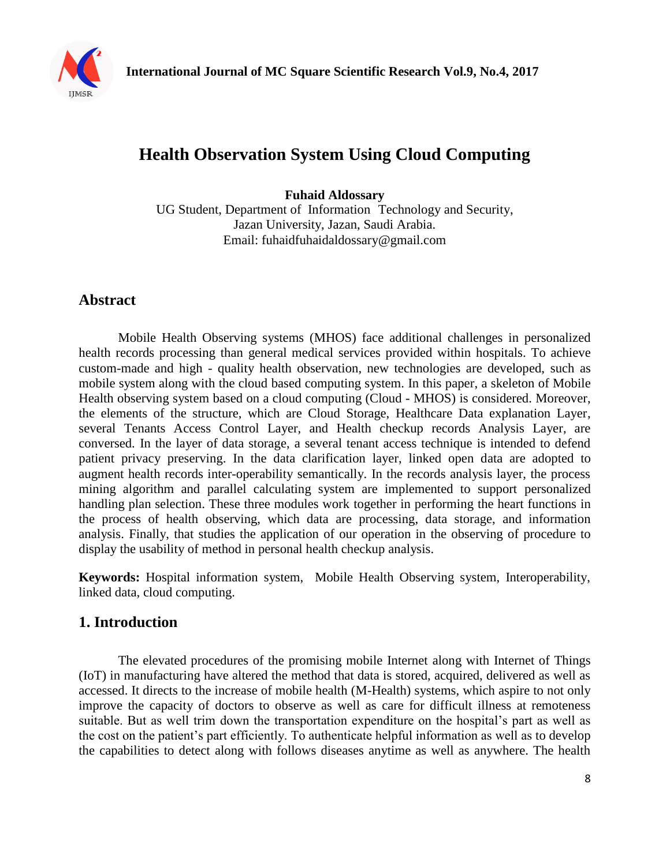

# **Health Observation System Using Cloud Computing**

**Fuhaid Aldossary** 

UG Student, Department of Information Technology and Security, Jazan University, Jazan, Saudi Arabia. Email: fuhaidfuhaidaldossary@gmail.com

## **Abstract**

Mobile Health Observing systems (MHOS) face additional challenges in personalized health records processing than general medical services provided within hospitals. To achieve custom-made and high - quality health observation, new technologies are developed, such as mobile system along with the cloud based computing system. In this paper, a skeleton of Mobile Health observing system based on a cloud computing (Cloud - MHOS) is considered. Moreover, the elements of the structure, which are Cloud Storage, Healthcare Data explanation Layer, several Tenants Access Control Layer, and Health checkup records Analysis Layer, are conversed. In the layer of data storage, a several tenant access technique is intended to defend patient privacy preserving. In the data clarification layer, linked open data are adopted to augment health records inter-operability semantically. In the records analysis layer, the process mining algorithm and parallel calculating system are implemented to support personalized handling plan selection. These three modules work together in performing the heart functions in the process of health observing, which data are processing, data storage, and information analysis. Finally, that studies the application of our operation in the observing of procedure to display the usability of method in personal health checkup analysis.

**Keywords:** Hospital information system, Mobile Health Observing system, Interoperability, linked data, cloud computing.

### **1. Introduction**

The elevated procedures of the promising mobile Internet along with Internet of Things (IoT) in manufacturing have altered the method that data is stored, acquired, delivered as well as accessed. It directs to the increase of mobile health (M-Health) systems, which aspire to not only improve the capacity of doctors to observe as well as care for difficult illness at remoteness suitable. But as well trim down the transportation expenditure on the hospital's part as well as the cost on the patient's part efficiently. To authenticate helpful information as well as to develop the capabilities to detect along with follows diseases anytime as well as anywhere. The health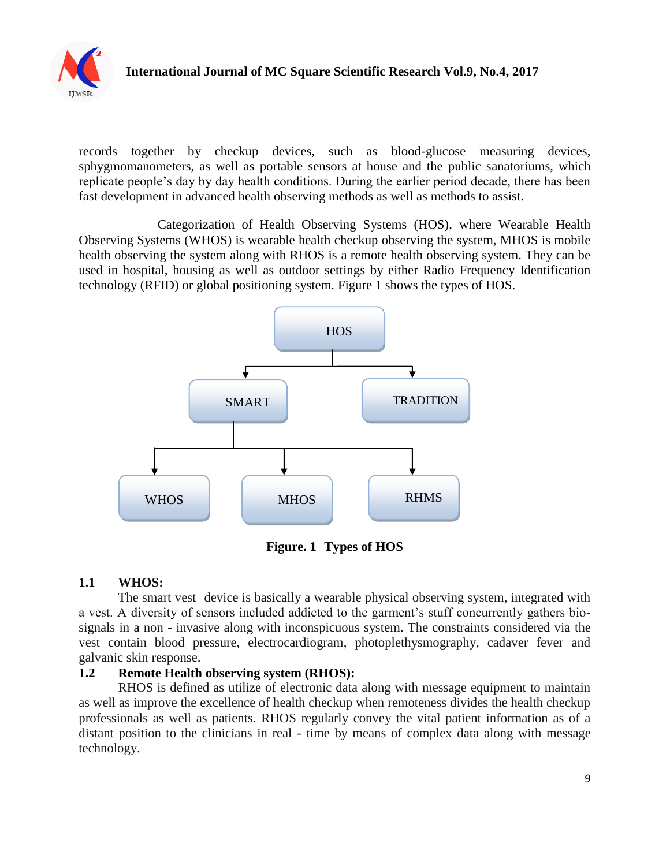

records together by checkup devices, such as blood-glucose measuring devices, sphygmomanometers, as well as portable sensors at house and the public sanatoriums, which replicate people's day by day health conditions. During the earlier period decade, there has been fast development in advanced health observing methods as well as methods to assist.

Categorization of Health Observing Systems (HOS), where Wearable Health Observing Systems (WHOS) is wearable health checkup observing the system, MHOS is mobile health observing the system along with RHOS is a remote health observing system. They can be used in hospital, housing as well as outdoor settings by either Radio Frequency Identification technology (RFID) or global positioning system. Figure 1 shows the types of HOS.



**Figure. 1 Types of HOS**

#### **1.1 WHOS:**

The smart vest device is basically a wearable physical observing system, integrated with a vest. A diversity of sensors included addicted to the garment's stuff concurrently gathers biosignals in a non - invasive along with inconspicuous system. The constraints considered via the vest contain blood pressure, electrocardiogram, photoplethysmography, cadaver fever and galvanic skin response.

#### **1.2 Remote Health observing system (RHOS):**

RHOS is defined as utilize of electronic data along with message equipment to maintain as well as improve the excellence of health checkup when remoteness divides the health checkup professionals as well as patients. RHOS regularly convey the vital patient information as of a distant position to the clinicians in real - time by means of complex data along with message technology.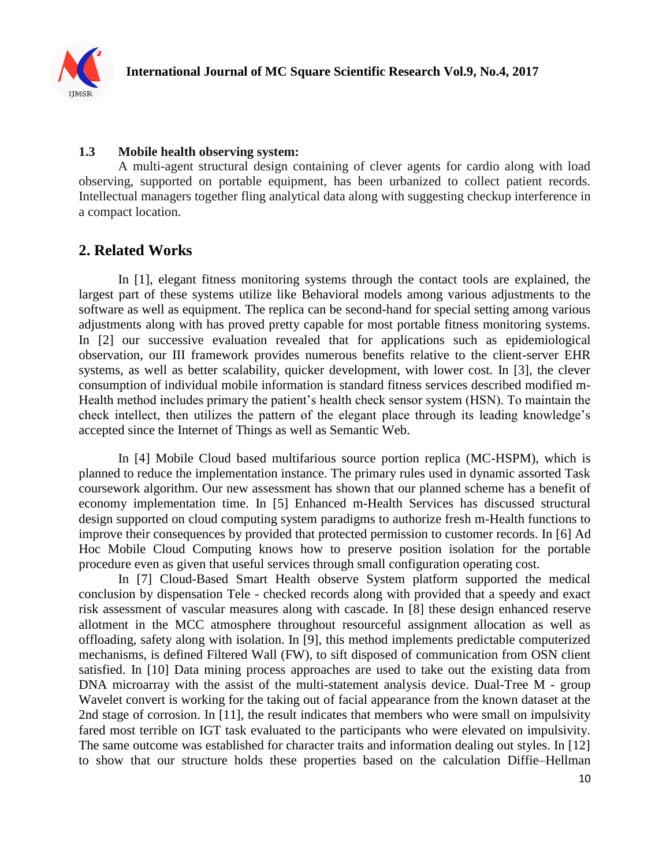

#### **1.3 Mobile health observing system:**

A multi-agent structural design containing of clever agents for cardio along with load observing, supported on portable equipment, has been urbanized to collect patient records. Intellectual managers together fling analytical data along with suggesting checkup interference in a compact location.

#### **2. Related Works**

In [1], elegant fitness monitoring systems through the contact tools are explained, the largest part of these systems utilize like Behavioral models among various adjustments to the software as well as equipment. The replica can be second-hand for special setting among various adjustments along with has proved pretty capable for most portable fitness monitoring systems. In [2] our successive evaluation revealed that for applications such as epidemiological observation, our III framework provides numerous benefits relative to the client-server EHR systems, as well as better scalability, quicker development, with lower cost. In [3], the clever consumption of individual mobile information is standard fitness services described modified m-Health method includes primary the patient's health check sensor system (HSN). To maintain the check intellect, then utilizes the pattern of the elegant place through its leading knowledge's accepted since the Internet of Things as well as Semantic Web.

In [4] Mobile Cloud based multifarious source portion replica (MC-HSPM), which is planned to reduce the implementation instance. The primary rules used in dynamic assorted Task coursework algorithm. Our new assessment has shown that our planned scheme has a benefit of economy implementation time. In [5] Enhanced m-Health Services has discussed structural design supported on cloud computing system paradigms to authorize fresh m-Health functions to improve their consequences by provided that protected permission to customer records. In [6] Ad Hoc Mobile Cloud Computing knows how to preserve position isolation for the portable procedure even as given that useful services through small configuration operating cost.

In [7] Cloud-Based Smart Health observe System platform supported the medical conclusion by dispensation Tele - checked records along with provided that a speedy and exact risk assessment of vascular measures along with cascade. In [8] these design enhanced reserve allotment in the MCC atmosphere throughout resourceful assignment allocation as well as offloading, safety along with isolation. In [9], this method implements predictable computerized mechanisms, is defined Filtered Wall (FW), to sift disposed of communication from OSN client satisfied. In [10] Data mining process approaches are used to take out the existing data from DNA microarray with the assist of the multi-statement analysis device. Dual-Tree M - group Wavelet convert is working for the taking out of facial appearance from the known dataset at the 2nd stage of corrosion. In [11], the result indicates that members who were small on impulsivity fared most terrible on IGT task evaluated to the participants who were elevated on impulsivity. The same outcome was established for character traits and information dealing out styles. In [12] to show that our structure holds these properties based on the calculation Diffie–Hellman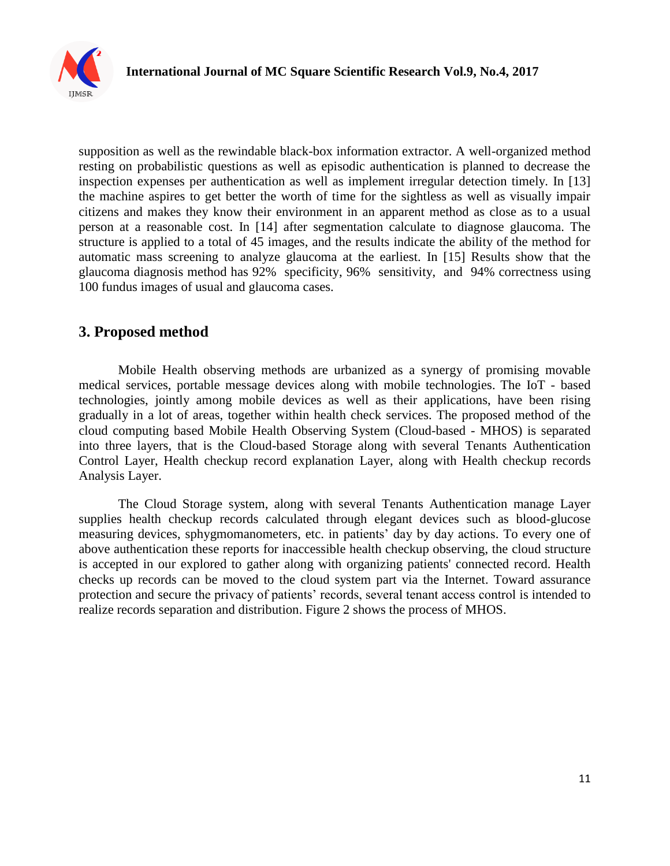

supposition as well as the rewindable black-box information extractor. A well-organized method resting on probabilistic questions as well as episodic authentication is planned to decrease the inspection expenses per authentication as well as implement irregular detection timely. In [13] the machine aspires to get better the worth of time for the sightless as well as visually impair citizens and makes they know their environment in an apparent method as close as to a usual person at a reasonable cost. In [14] after segmentation calculate to diagnose glaucoma. The structure is applied to a total of 45 images, and the results indicate the ability of the method for automatic mass screening to analyze glaucoma at the earliest. In [15] Results show that the glaucoma diagnosis method has 92% specificity, 96% sensitivity, and 94% correctness using 100 fundus images of usual and glaucoma cases.

#### **3. Proposed method**

Mobile Health observing methods are urbanized as a synergy of promising movable medical services, portable message devices along with mobile technologies. The IoT - based technologies, jointly among mobile devices as well as their applications, have been rising gradually in a lot of areas, together within health check services. The proposed method of the cloud computing based Mobile Health Observing System (Cloud-based - MHOS) is separated into three layers, that is the Cloud-based Storage along with several Tenants Authentication Control Layer, Health checkup record explanation Layer, along with Health checkup records Analysis Layer.

The Cloud Storage system, along with several Tenants Authentication manage Layer supplies health checkup records calculated through elegant devices such as blood-glucose measuring devices, sphygmomanometers, etc. in patients' day by day actions. To every one of above authentication these reports for inaccessible health checkup observing, the cloud structure is accepted in our explored to gather along with organizing patients' connected record. Health checks up records can be moved to the cloud system part via the Internet. Toward assurance protection and secure the privacy of patients' records, several tenant access control is intended to realize records separation and distribution. Figure 2 shows the process of MHOS.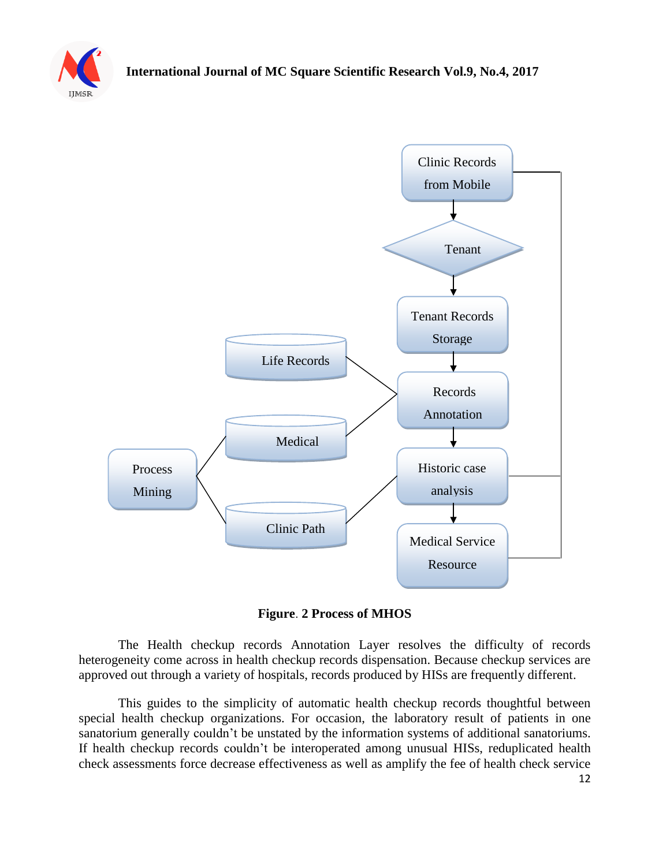



**Figure**. **2 Process of MHOS**

The Health checkup records Annotation Layer resolves the difficulty of records heterogeneity come across in health checkup records dispensation. Because checkup services are approved out through a variety of hospitals, records produced by HISs are frequently different.

This guides to the simplicity of automatic health checkup records thoughtful between special health checkup organizations. For occasion, the laboratory result of patients in one sanatorium generally couldn't be unstated by the information systems of additional sanatoriums. If health checkup records couldn't be interoperated among unusual HISs, reduplicated health check assessments force decrease effectiveness as well as amplify the fee of health check service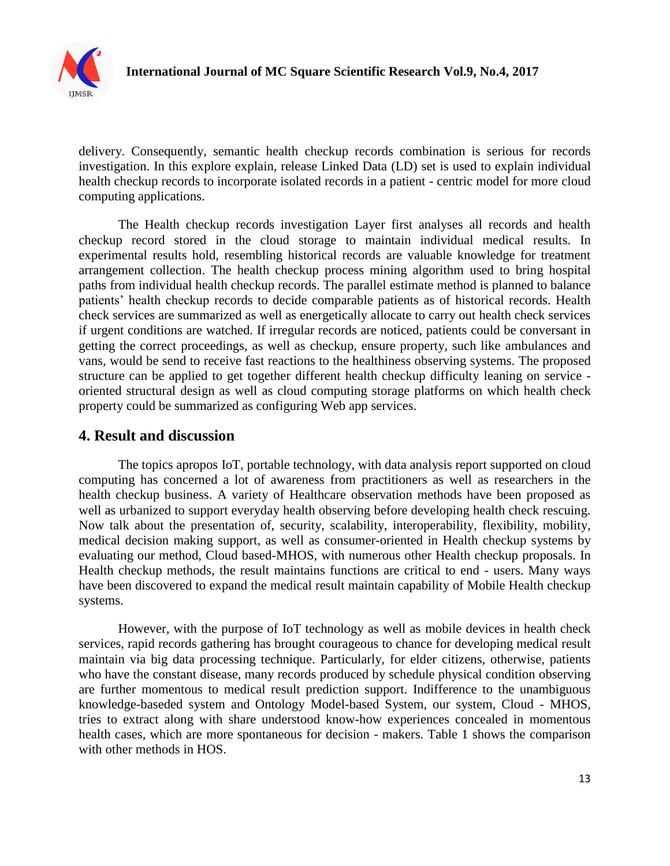

delivery. Consequently, semantic health checkup records combination is serious for records investigation. In this explore explain, release Linked Data (LD) set is used to explain individual health checkup records to incorporate isolated records in a patient - centric model for more cloud computing applications.

The Health checkup records investigation Layer first analyses all records and health checkup record stored in the cloud storage to maintain individual medical results. In experimental results hold, resembling historical records are valuable knowledge for treatment arrangement collection. The health checkup process mining algorithm used to bring hospital paths from individual health checkup records. The parallel estimate method is planned to balance patients' health checkup records to decide comparable patients as of historical records. Health check services are summarized as well as energetically allocate to carry out health check services if urgent conditions are watched. If irregular records are noticed, patients could be conversant in getting the correct proceedings, as well as checkup, ensure property, such like ambulances and vans, would be send to receive fast reactions to the healthiness observing systems. The proposed structure can be applied to get together different health checkup difficulty leaning on service oriented structural design as well as cloud computing storage platforms on which health check property could be summarized as configuring Web app services.

#### **4. Result and discussion**

The topics apropos IoT, portable technology, with data analysis report supported on cloud computing has concerned a lot of awareness from practitioners as well as researchers in the health checkup business. A variety of Healthcare observation methods have been proposed as well as urbanized to support everyday health observing before developing health check rescuing. Now talk about the presentation of, security, scalability, interoperability, flexibility, mobility, medical decision making support, as well as consumer-oriented in Health checkup systems by evaluating our method, Cloud based-MHOS, with numerous other Health checkup proposals. In Health checkup methods, the result maintains functions are critical to end - users. Many ways have been discovered to expand the medical result maintain capability of Mobile Health checkup systems.

However, with the purpose of IoT technology as well as mobile devices in health check services, rapid records gathering has brought courageous to chance for developing medical result maintain via big data processing technique. Particularly, for elder citizens, otherwise, patients who have the constant disease, many records produced by schedule physical condition observing are further momentous to medical result prediction support. Indifference to the unambiguous knowledge-baseded system and Ontology Model-based System, our system, Cloud - MHOS, tries to extract along with share understood know-how experiences concealed in momentous health cases, which are more spontaneous for decision - makers. Table 1 shows the comparison with other methods in HOS.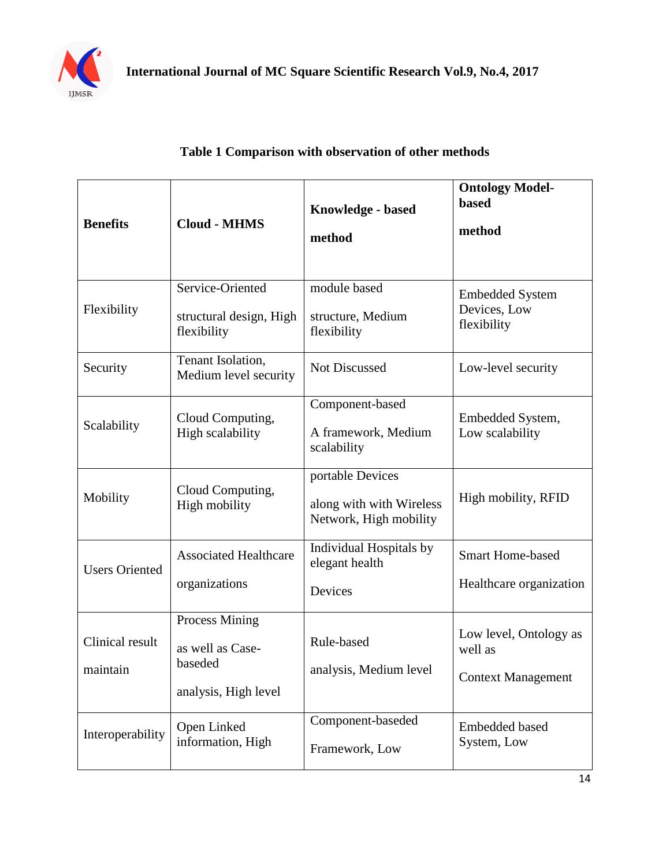

#### **Table 1 Comparison with observation of other methods**

| <b>Benefits</b>             | <b>Cloud - MHMS</b>                                                          | Knowledge - based<br>method                                            | <b>Ontology Model-</b><br><b>based</b><br>method               |
|-----------------------------|------------------------------------------------------------------------------|------------------------------------------------------------------------|----------------------------------------------------------------|
| Flexibility                 | Service-Oriented<br>structural design, High<br>flexibility                   | module based<br>structure, Medium<br>flexibility                       | <b>Embedded System</b><br>Devices, Low<br>flexibility          |
| Security                    | Tenant Isolation,<br>Medium level security                                   | Not Discussed                                                          | Low-level security                                             |
| Scalability                 | Cloud Computing,<br>High scalability                                         | Component-based<br>A framework, Medium<br>scalability                  | Embedded System,<br>Low scalability                            |
| Mobility                    | Cloud Computing,<br>High mobility                                            | portable Devices<br>along with with Wireless<br>Network, High mobility | High mobility, RFID                                            |
| <b>Users Oriented</b>       | <b>Associated Healthcare</b><br>organizations                                | Individual Hospitals by<br>elegant health<br>Devices                   | <b>Smart Home-based</b><br>Healthcare organization             |
| Clinical result<br>maintain | <b>Process Mining</b><br>as well as Case-<br>baseded<br>analysis, High level | Rule-based<br>analysis, Medium level                                   | Low level, Ontology as<br>well as<br><b>Context Management</b> |
| Interoperability            | Open Linked<br>information, High                                             | Component-baseded<br>Framework, Low                                    | <b>Embedded based</b><br>System, Low                           |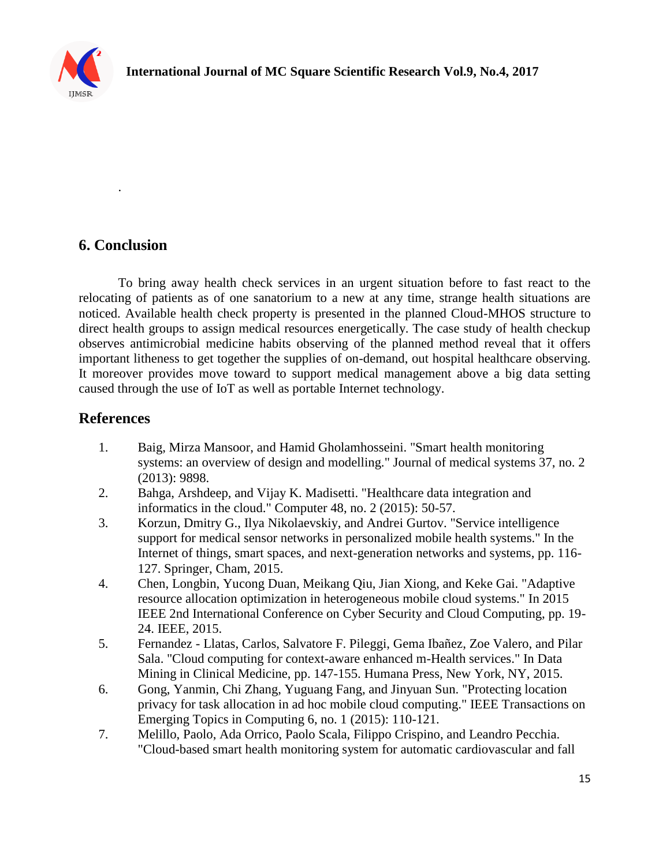

## **6. Conclusion**

.

To bring away health check services in an urgent situation before to fast react to the relocating of patients as of one sanatorium to a new at any time, strange health situations are noticed. Available health check property is presented in the planned Cloud-MHOS structure to direct health groups to assign medical resources energetically. The case study of health checkup observes antimicrobial medicine habits observing of the planned method reveal that it offers important litheness to get together the supplies of on-demand, out hospital healthcare observing. It moreover provides move toward to support medical management above a big data setting caused through the use of IoT as well as portable Internet technology.

### **References**

- 1. Baig, Mirza Mansoor, and Hamid Gholamhosseini. "Smart health monitoring systems: an overview of design and modelling." Journal of medical systems 37, no. 2 (2013): 9898.
- 2. Bahga, Arshdeep, and Vijay K. Madisetti. "Healthcare data integration and informatics in the cloud." Computer 48, no. 2 (2015): 50-57.
- 3. Korzun, Dmitry G., Ilya Nikolaevskiy, and Andrei Gurtov. "Service intelligence support for medical sensor networks in personalized mobile health systems." In the Internet of things, smart spaces, and next-generation networks and systems, pp. 116- 127. Springer, Cham, 2015.
- 4. Chen, Longbin, Yucong Duan, Meikang Qiu, Jian Xiong, and Keke Gai. "Adaptive resource allocation optimization in heterogeneous mobile cloud systems." In 2015 IEEE 2nd International Conference on Cyber Security and Cloud Computing, pp. 19- 24. IEEE, 2015.
- 5. Fernandez Llatas, Carlos, Salvatore F. Pileggi, Gema Ibañez, Zoe Valero, and Pilar Sala. "Cloud computing for context-aware enhanced m-Health services." In Data Mining in Clinical Medicine, pp. 147-155. Humana Press, New York, NY, 2015.
- 6. Gong, Yanmin, Chi Zhang, Yuguang Fang, and Jinyuan Sun. "Protecting location privacy for task allocation in ad hoc mobile cloud computing." IEEE Transactions on Emerging Topics in Computing 6, no. 1 (2015): 110-121.
- 7. Melillo, Paolo, Ada Orrico, Paolo Scala, Filippo Crispino, and Leandro Pecchia. "Cloud-based smart health monitoring system for automatic cardiovascular and fall